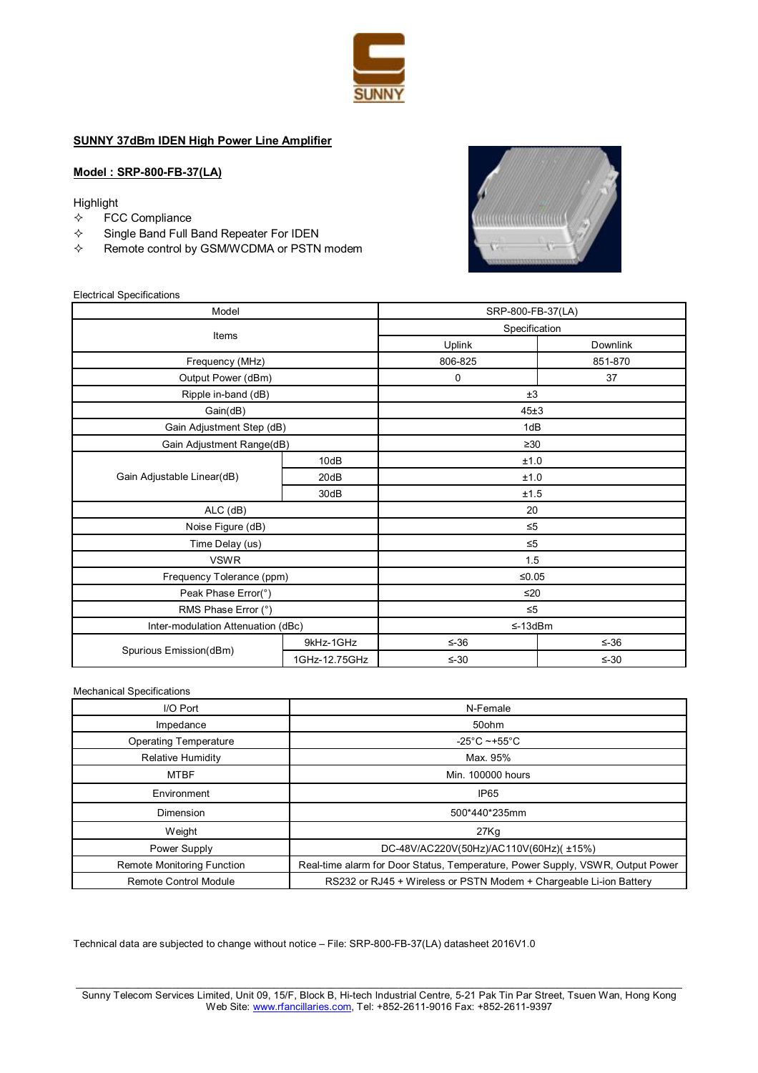

## **SUNNY 37dBm IDEN High Power Line Amplifier**

## **Model : SRP-800-FB-37(LA)**

#### Highlight

- $\Leftrightarrow$  FCC Compliance
- $\Leftrightarrow$  Single Band Full Band Repeater For IDEN
- $\Leftrightarrow$  Remote control by GSM/WCDMA or PSTN modem



#### Electrical Specifications

| Model                              |               | SRP-800-FB-37(LA) |            |
|------------------------------------|---------------|-------------------|------------|
| Items                              |               | Specification     |            |
|                                    |               | Uplink            | Downlink   |
| Frequency (MHz)                    |               | 806-825           | 851-870    |
| Output Power (dBm)                 |               | 0                 | 37         |
| Ripple in-band (dB)                |               | ±3                |            |
| Gain(dB)                           |               | 45±3              |            |
| Gain Adjustment Step (dB)          |               | 1dB               |            |
| Gain Adjustment Range(dB)          |               | $\geq 30$         |            |
|                                    | 10dB          | ±1.0              |            |
| Gain Adjustable Linear(dB)         | 20dB          | ±1.0              |            |
|                                    | 30dB          | ±1.5              |            |
| $ALC$ ( $dB$ )                     |               | 20                |            |
| Noise Figure (dB)                  |               | $\leq 5$          |            |
| Time Delay (us)                    |               | $\leq 5$          |            |
| <b>VSWR</b>                        |               | 1.5               |            |
| Frequency Tolerance (ppm)          |               | $≤0.05$           |            |
| Peak Phase Error(°)                |               | ≤20               |            |
| RMS Phase Error (°)                |               | $\leq 5$          |            |
| Inter-modulation Attenuation (dBc) |               | $\leq$ -13dBm     |            |
| Spurious Emission(dBm)             | 9kHz-1GHz     | $\leq -36$        | $\leq -36$ |
|                                    | 1GHz-12.75GHz | $\leq -30$        | $\leq -30$ |

#### Mechanical Specifications

| I/O Port                          | N-Female                                                                       |
|-----------------------------------|--------------------------------------------------------------------------------|
| Impedance                         | 50ohm                                                                          |
| <b>Operating Temperature</b>      | -25°C ~+55°C                                                                   |
| Relative Humidity                 | Max. 95%                                                                       |
| <b>MTBF</b>                       | Min. 100000 hours                                                              |
| Environment                       | IP <sub>65</sub>                                                               |
| Dimension                         | 500*440*235mm                                                                  |
| Weight                            | 27Kq                                                                           |
| Power Supply                      | DC-48V/AC220V(50Hz)/AC110V(60Hz)(±15%)                                         |
| <b>Remote Monitoring Function</b> | Real-time alarm for Door Status, Temperature, Power Supply, VSWR, Output Power |
| <b>Remote Control Module</b>      | RS232 or RJ45 + Wireless or PSTN Modem + Chargeable Li-ion Battery             |

Technical data are subjected to change without notice – File: SRP-800-FB-37(LA) datasheet 2016V1.0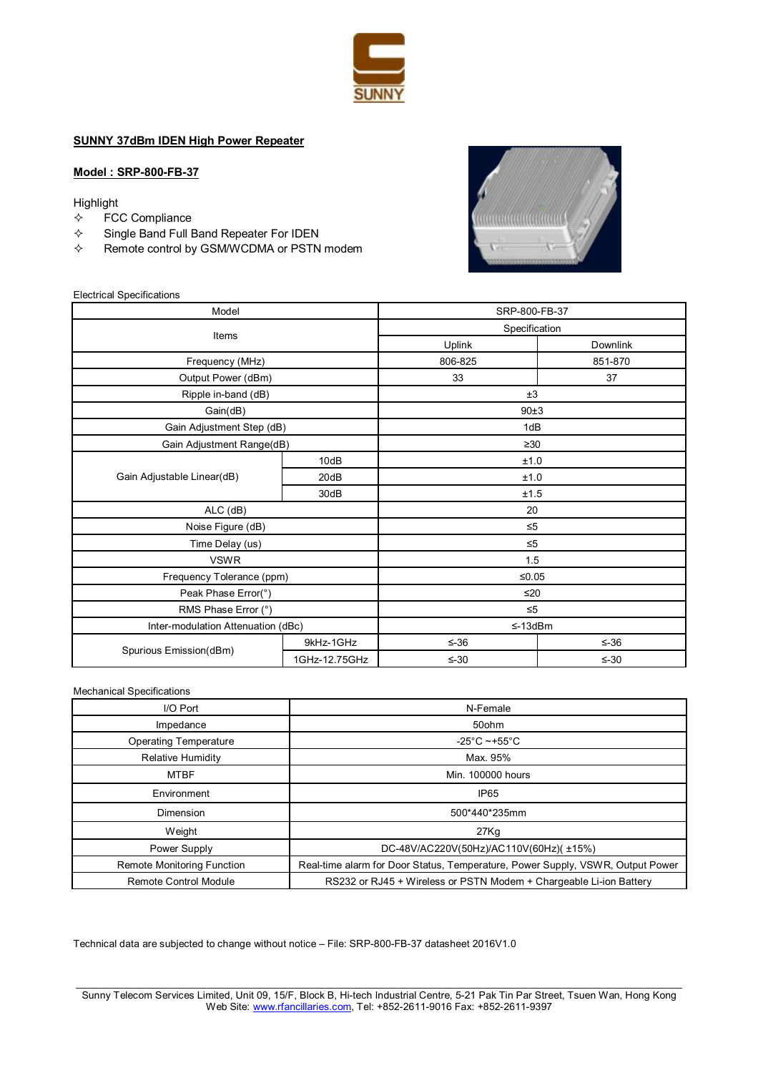

## **SUNNY 37dBm IDEN High Power Repeater**

### **Model : SRP-800-FB-37**

Highlight

- $\Leftrightarrow$  FCC Compliance
- $\Leftrightarrow$  Single Band Full Band Repeater For IDEN
- $\Leftrightarrow$  Remote control by GSM/WCDMA or PSTN modem



#### Electrical Specifications

| Model                              |               | SRP-800-FB-37 |            |
|------------------------------------|---------------|---------------|------------|
| Items                              |               | Specification |            |
|                                    |               | Uplink        | Downlink   |
| Frequency (MHz)                    |               | 806-825       | 851-870    |
| Output Power (dBm)                 |               | 33            | 37         |
| Ripple in-band (dB)                |               | ±3            |            |
| Gain(dB)                           |               | 90±3          |            |
| Gain Adjustment Step (dB)          |               | 1dB           |            |
| Gain Adjustment Range(dB)          |               | $\geq 30$     |            |
| Gain Adjustable Linear(dB)         | 10dB          | ±1.0          |            |
|                                    | 20dB          | ±1.0          |            |
|                                    | 30dB          | ±1.5          |            |
| $ALC$ ( $dB$ )                     |               | 20            |            |
| Noise Figure (dB)                  |               | $\leq 5$      |            |
| Time Delay (us)                    |               | $\leq 5$      |            |
| <b>VSWR</b>                        |               | 1.5           |            |
| Frequency Tolerance (ppm)          |               | $≤0.05$       |            |
| Peak Phase Error(°)                |               | $≤20$         |            |
| RMS Phase Error (°)                |               | $\leq 5$      |            |
| Inter-modulation Attenuation (dBc) |               | $\leq$ -13dBm |            |
| Spurious Emission(dBm)             | 9kHz-1GHz     | $\leq -36$    | $\leq -36$ |
|                                    | 1GHz-12.75GHz | $\leq -30$    | $\leq -30$ |

Mechanical Specifications

| I/O Port                          | N-Female                                                                       |
|-----------------------------------|--------------------------------------------------------------------------------|
| Impedance                         | 50ohm                                                                          |
| <b>Operating Temperature</b>      | -25°C ~+55°C                                                                   |
| Relative Humidity                 | Max. 95%                                                                       |
| <b>MTBF</b>                       | Min. 100000 hours                                                              |
| Environment                       | IP <sub>65</sub>                                                               |
| Dimension                         | 500*440*235mm                                                                  |
| Weight                            | 27Kq                                                                           |
| Power Supply                      | DC-48V/AC220V(50Hz)/AC110V(60Hz)(±15%)                                         |
| <b>Remote Monitoring Function</b> | Real-time alarm for Door Status, Temperature, Power Supply, VSWR, Output Power |
| <b>Remote Control Module</b>      | RS232 or RJ45 + Wireless or PSTN Modem + Chargeable Li-ion Battery             |

Technical data are subjected to change without notice – File: SRP-800-FB-37 datasheet 2016V1.0